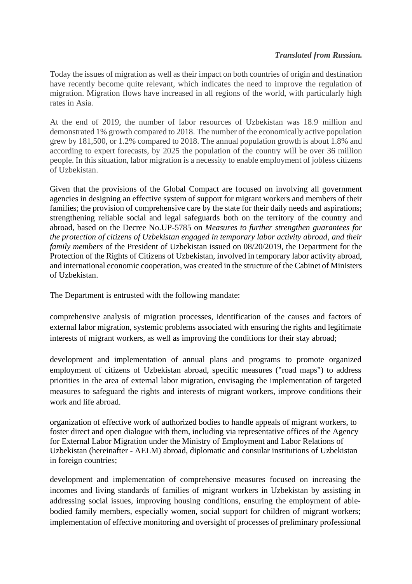### *Translated from Russian.*

Today the issues of migration as well as their impact on both countries of origin and destination have recently become quite relevant, which indicates the need to improve the regulation of migration. Migration flows have increased in all regions of the world, with particularly high rates in Asia.

At the end of 2019, the number of labor resources of Uzbekistan was 18.9 million and demonstrated 1% growth compared to 2018. The number of the economically active population grew by 181,500, or 1.2% compared to 2018. The annual population growth is about 1.8% and according to expert forecasts, by 2025 the population of the country will be over 36 million people. In this situation, labor migration is a necessity to enable employment of jobless citizens of Uzbekistan.

Given that the provisions of the Global Compact are focused on involving all government agencies in designing an effective system of support for migrant workers and members of their families; the provision of comprehensive care by the state for their daily needs and aspirations; strengthening reliable social and legal safeguards both on the territory of the country and abroad, based on the Decree No.UP-5785 on *Measures to further strengthen guarantees for the protection of citizens of Uzbekistan engaged in temporary labor activity abroad*, *and their family members* of the President of Uzbekistan issued on 08/20/2019, the Department for the Protection of the Rights of Citizens of Uzbekistan, involved in temporary labor activity abroad, and international economic cooperation, was created in the structure of the Cabinet of Ministers of Uzbekistan.

The Department is entrusted with the following mandate:

comprehensive analysis of migration processes, identification of the causes and factors of external labor migration, systemic problems associated with ensuring the rights and legitimate interests of migrant workers, as well as improving the conditions for their stay abroad;

development and implementation of annual plans and programs to promote organized employment of citizens of Uzbekistan abroad, specific measures ("road maps") to address priorities in the area of external labor migration, envisaging the implementation of targeted measures to safeguard the rights and interests of migrant workers, improve conditions their work and life abroad.

organization of effective work of authorized bodies to handle appeals of migrant workers, to foster direct and open dialogue with them, including via representative offices of the Agency for External Labor Migration under the Ministry of Employment and Labor Relations of Uzbekistan (hereinafter - AELM) abroad, diplomatic and consular institutions of Uzbekistan in foreign countries;

development and implementation of comprehensive measures focused on increasing the incomes and living standards of families of migrant workers in Uzbekistan by assisting in addressing social issues, improving housing conditions, ensuring the employment of ablebodied family members, especially women, social support for children of migrant workers; implementation of effective monitoring and oversight of processes of preliminary professional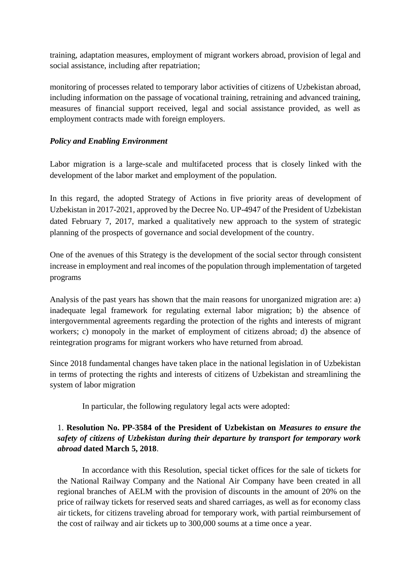training, adaptation measures, employment of migrant workers abroad, provision of legal and social assistance, including after repatriation;

monitoring of processes related to temporary labor activities of citizens of Uzbekistan abroad, including information on the passage of vocational training, retraining and advanced training, measures of financial support received, legal and social assistance provided, as well as employment contracts made with foreign employers.

### *Policy and Enabling Environment*

Labor migration is a large-scale and multifaceted process that is closely linked with the development of the labor market and employment of the population.

In this regard, the adopted Strategy of Actions in five priority areas of development of Uzbekistan in 2017-2021, approved by the Decree No. UP-4947 of the President of Uzbekistan dated February 7, 2017, marked a qualitatively new approach to the system of strategic planning of the prospects of governance and social development of the country.

One of the avenues of this Strategy is the development of the social sector through consistent increase in employment and real incomes of the population through implementation of targeted programs

Analysis of the past years has shown that the main reasons for unorganized migration are: a) inadequate legal framework for regulating external labor migration; b) the absence of intergovernmental agreements regarding the protection of the rights and interests of migrant workers; c) monopoly in the market of employment of citizens abroad; d) the absence of reintegration programs for migrant workers who have returned from abroad.

Since 2018 fundamental changes have taken place in the national legislation in of Uzbekistan in terms of protecting the rights and interests of citizens of Uzbekistan and streamlining the system of labor migration

In particular, the following regulatory legal acts were adopted:

# 1. **Resolution No. PP-3584 of the President of Uzbekistan on** *Measures to ensure the safety of citizens of Uzbekistan during their departure by transport for temporary work abroad* **dated March 5, 2018**.

In accordance with this Resolution, special ticket offices for the sale of tickets for the National Railway Company and the National Air Company have been created in all regional branches of AELM with the provision of discounts in the amount of 20% on the price of railway tickets for reserved seats and shared carriages, as well as for economy class air tickets, for citizens traveling abroad for temporary work, with partial reimbursement of the cost of railway and air tickets up to 300,000 soums at a time once a year.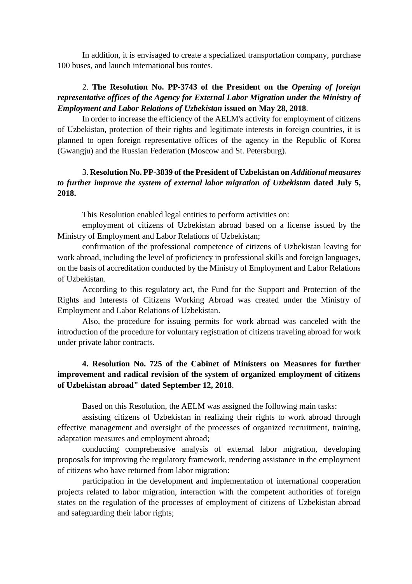In addition, it is envisaged to create a specialized transportation company, purchase 100 buses, and launch international bus routes.

## 2. **The Resolution No. PP-3743 of the President on the** *Opening of foreign representative offices of the Agency for External Labor Migration under the Ministry of Employment and Labor Relations of Uzbekistan* **issued on May 28, 2018**.

In order to increase the efficiency of the AELM's activity for employment of citizens of Uzbekistan, protection of their rights and legitimate interests in foreign countries, it is planned to open foreign representative offices of the agency in the Republic of Korea (Gwangju) and the Russian Federation (Moscow and St. Petersburg).

# 3. **Resolution No. PP-3839 of the President of Uzbekistan on** *Additional measures to further improve the system of external labor migration of Uzbekistan* **dated July 5, 2018.**

This Resolution enabled legal entities to perform activities on:

employment of citizens of Uzbekistan abroad based on a license issued by the Ministry of Employment and Labor Relations of Uzbekistan;

confirmation of the professional competence of citizens of Uzbekistan leaving for work abroad, including the level of proficiency in professional skills and foreign languages, on the basis of accreditation conducted by the Ministry of Employment and Labor Relations of Uzbekistan.

According to this regulatory act, the Fund for the Support and Protection of the Rights and Interests of Citizens Working Abroad was created under the Ministry of Employment and Labor Relations of Uzbekistan.

Also, the procedure for issuing permits for work abroad was canceled with the introduction of the procedure for voluntary registration of citizens traveling abroad for work under private labor contracts.

# **4. Resolution No. 725 of the Cabinet of Ministers on Measures for further improvement and radical revision of the system of organized employment of citizens of Uzbekistan abroad" dated September 12, 2018**.

Based on this Resolution, the AELM was assigned the following main tasks:

assisting citizens of Uzbekistan in realizing their rights to work abroad through effective management and oversight of the processes of organized recruitment, training, adaptation measures and employment abroad;

conducting comprehensive analysis of external labor migration, developing proposals for improving the regulatory framework, rendering assistance in the employment of citizens who have returned from labor migration:

participation in the development and implementation of international cooperation projects related to labor migration, interaction with the competent authorities of foreign states on the regulation of the processes of employment of citizens of Uzbekistan abroad and safeguarding their labor rights;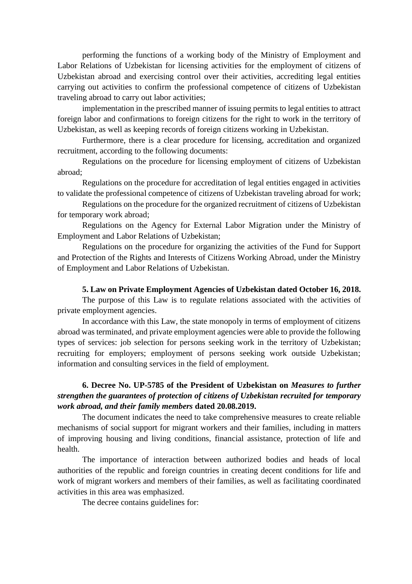performing the functions of a working body of the Ministry of Employment and Labor Relations of Uzbekistan for licensing activities for the employment of citizens of Uzbekistan abroad and exercising control over their activities, accrediting legal entities carrying out activities to confirm the professional competence of citizens of Uzbekistan traveling abroad to carry out labor activities;

implementation in the prescribed manner of issuing permits to legal entities to attract foreign labor and confirmations to foreign citizens for the right to work in the territory of Uzbekistan, as well as keeping records of foreign citizens working in Uzbekistan.

Furthermore, there is a clear procedure for licensing, accreditation and organized recruitment, according to the following documents:

Regulations on the procedure for licensing employment of citizens of Uzbekistan abroad;

Regulations on the procedure for accreditation of legal entities engaged in activities to validate the professional competence of citizens of Uzbekistan traveling abroad for work;

Regulations on the procedure for the organized recruitment of citizens of Uzbekistan for temporary work abroad;

Regulations on the Agency for External Labor Migration under the Ministry of Employment and Labor Relations of Uzbekistan;

Regulations on the procedure for organizing the activities of the Fund for Support and Protection of the Rights and Interests of Citizens Working Abroad, under the Ministry of Employment and Labor Relations of Uzbekistan.

#### **5. Law on Private Employment Agencies of Uzbekistan dated October 16, 2018.**

The purpose of this Law is to regulate relations associated with the activities of private employment agencies.

In accordance with this Law, the state monopoly in terms of employment of citizens abroad was terminated, and private employment agencies were able to provide the following types of services: job selection for persons seeking work in the territory of Uzbekistan; recruiting for employers; employment of persons seeking work outside Uzbekistan; information and consulting services in the field of employment.

## **6. Decree No. UP-5785 of the President of Uzbekistan on** *Measures to further strengthen the guarantees of protection of citizens of Uzbekistan recruited for temporary work abroad, and their family members* **dated 20.08.2019.**

The document indicates the need to take comprehensive measures to create reliable mechanisms of social support for migrant workers and their families, including in matters of improving housing and living conditions, financial assistance, protection of life and health.

The importance of interaction between authorized bodies and heads of local authorities of the republic and foreign countries in creating decent conditions for life and work of migrant workers and members of their families, as well as facilitating coordinated activities in this area was emphasized.

The decree contains guidelines for: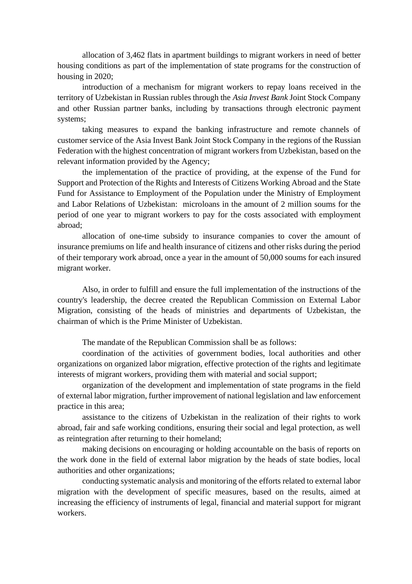allocation of 3,462 flats in apartment buildings to migrant workers in need of better housing conditions as part of the implementation of state programs for the construction of housing in 2020;

introduction of a mechanism for migrant workers to repay loans received in the territory of Uzbekistan in Russian rubles through the *Asia Invest Bank* Joint Stock Company and other Russian partner banks, including by transactions through electronic payment systems;

taking measures to expand the banking infrastructure and remote channels of customer service of the Asia Invest Bank Joint Stock Company in the regions of the Russian Federation with the highest concentration of migrant workers from Uzbekistan, based on the relevant information provided by the Agency;

the implementation of the practice of providing, at the expense of the Fund for Support and Protection of the Rights and Interests of Citizens Working Abroad and the State Fund for Assistance to Employment of the Population under the Ministry of Employment and Labor Relations of Uzbekistan: microloans in the amount of 2 million soums for the period of one year to migrant workers to pay for the costs associated with employment abroad;

allocation of one-time subsidy to insurance companies to cover the amount of insurance premiums on life and health insurance of citizens and other risks during the period of their temporary work abroad, once a year in the amount of 50,000 soums for each insured migrant worker.

Also, in order to fulfill and ensure the full implementation of the instructions of the country's leadership, the decree created the Republican Commission on External Labor Migration, consisting of the heads of ministries and departments of Uzbekistan, the chairman of which is the Prime Minister of Uzbekistan.

The mandate of the Republican Commission shall be as follows:

coordination of the activities of government bodies, local authorities and other organizations on organized labor migration, effective protection of the rights and legitimate interests of migrant workers, providing them with material and social support;

organization of the development and implementation of state programs in the field of external labor migration, further improvement of national legislation and law enforcement practice in this area;

assistance to the citizens of Uzbekistan in the realization of their rights to work abroad, fair and safe working conditions, ensuring their social and legal protection, as well as reintegration after returning to their homeland;

making decisions on encouraging or holding accountable on the basis of reports on the work done in the field of external labor migration by the heads of state bodies, local authorities and other organizations;

conducting systematic analysis and monitoring of the efforts related to external labor migration with the development of specific measures, based on the results, aimed at increasing the efficiency of instruments of legal, financial and material support for migrant workers.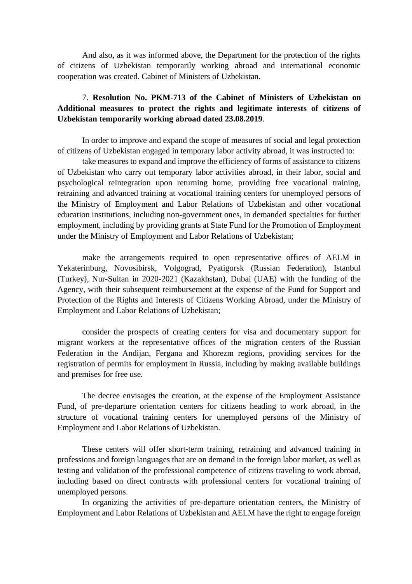And also, as it was informed above, the Department for the protection of the rights of citizens of Uzbekistan temporarily working abroad and international economic cooperation was created. Cabinet of Ministers of Uzbekistan.

## 7. **Resolution No. PKM-713 of the Cabinet of Ministers of Uzbekistan on Additional measures to protect the rights and legitimate interests of citizens of Uzbekistan temporarily working abroad dated 23.08.2019**.

In order to improve and expand the scope of measures of social and legal protection of citizens of Uzbekistan engaged in temporary labor activity abroad, it was instructed to:

take measures to expand and improve the efficiency of forms of assistance to citizens of Uzbekistan who carry out temporary labor activities abroad, in their labor, social and psychological reintegration upon returning home, providing free vocational training, retraining and advanced training at vocational training centers for unemployed persons of the Ministry of Employment and Labor Relations of Uzbekistan and other vocational education institutions, including non-government ones, in demanded specialties for further employment, including by providing grants at State Fund for the Promotion of Employment under the Ministry of Employment and Labor Relations of Uzbekistan;

make the arrangements required to open representative offices of AELM in Yekaterinburg, Novosibirsk, Volgograd, Pyatigorsk (Russian Federation), Istanbul (Turkey), Nur-Sultan in 2020-2021 (Kazakhstan), Dubai (UAE) with the funding of the Agency, with their subsequent reimbursement at the expense of the Fund for Support and Protection of the Rights and Interests of Citizens Working Abroad, under the Ministry of Employment and Labor Relations of Uzbekistan;

consider the prospects of creating centers for visa and documentary support for migrant workers at the representative offices of the migration centers of the Russian Federation in the Andijan, Fergana and Khorezm regions, providing services for the registration of permits for employment in Russia, including by making available buildings and premises for free use.

The decree envisages the creation, at the expense of the Employment Assistance Fund, of pre-departure orientation centers for citizens heading to work abroad, in the structure of vocational training centers for unemployed persons of the Ministry of Employment and Labor Relations of Uzbekistan.

These centers will offer short-term training, retraining and advanced training in professions and foreign languages that are on demand in the foreign labor market, as well as testing and validation of the professional competence of citizens traveling to work abroad, including based on direct contracts with professional centers for vocational training of unemployed persons.

In organizing the activities of pre-departure orientation centers, the Ministry of Employment and Labor Relations of Uzbekistan and AELM have the right to engage foreign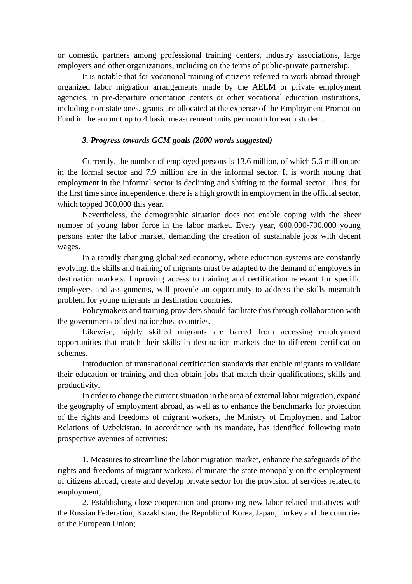or domestic partners among professional training centers, industry associations, large employers and other organizations, including on the terms of public-private partnership.

It is notable that for vocational training of citizens referred to work abroad through organized labor migration arrangements made by the AELM or private employment agencies, in pre-departure orientation centers or other vocational education institutions, including non-state ones, grants are allocated at the expense of the Employment Promotion Fund in the amount up to 4 basic measurement units per month for each student.

#### *3. Progress towards GCM goals (2000 words suggested)*

Currently, the number of employed persons is 13.6 million, of which 5.6 million are in the formal sector and 7.9 million are in the informal sector. It is worth noting that employment in the informal sector is declining and shifting to the formal sector. Thus, for the first time since independence, there is a high growth in employment in the official sector, which topped 300,000 this year.

Nevertheless, the demographic situation does not enable coping with the sheer number of young labor force in the labor market. Every year, 600,000-700,000 young persons enter the labor market, demanding the creation of sustainable jobs with decent wages.

In a rapidly changing globalized economy, where education systems are constantly evolving, the skills and training of migrants must be adapted to the demand of employers in destination markets. Improving access to training and certification relevant for specific employers and assignments, will provide an opportunity to address the skills mismatch problem for young migrants in destination countries.

Policymakers and training providers should facilitate this through collaboration with the governments of destination/host countries.

Likewise, highly skilled migrants are barred from accessing employment opportunities that match their skills in destination markets due to different certification schemes.

Introduction of transnational certification standards that enable migrants to validate their education or training and then obtain jobs that match their qualifications, skills and productivity.

In order to change the current situation in the area of external labor migration, expand the geography of employment abroad, as well as to enhance the benchmarks for protection of the rights and freedoms of migrant workers, the Ministry of Employment and Labor Relations of Uzbekistan, in accordance with its mandate, has identified following main prospective avenues of activities:

1. Measures to streamline the labor migration market, enhance the safeguards of the rights and freedoms of migrant workers, eliminate the state monopoly on the employment of citizens abroad, create and develop private sector for the provision of services related to employment;

2. Establishing close cooperation and promoting new labor-related initiatives with the Russian Federation, Kazakhstan, the Republic of Korea, Japan, Turkey and the countries of the European Union;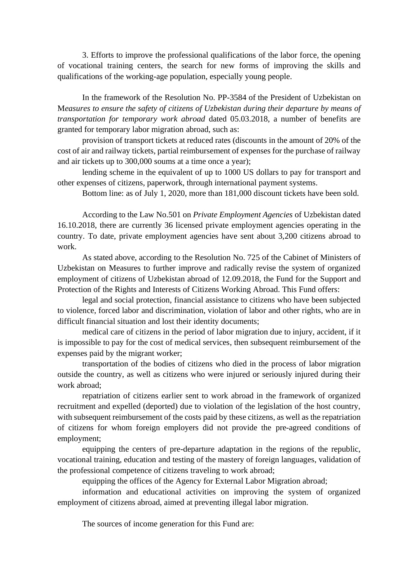3. Efforts to improve the professional qualifications of the labor force, the opening of vocational training centers, the search for new forms of improving the skills and qualifications of the working-age population, especially young people.

In the framework of the Resolution No. PP-3584 of the President of Uzbekistan on M*easures to ensure the safety of citizens of Uzbekistan during their departure by means of transportation for temporary work abroad* dated 05.03.2018, a number of benefits are granted for temporary labor migration abroad, such as:

provision of transport tickets at reduced rates (discounts in the amount of 20% of the cost of air and railway tickets, partial reimbursement of expenses for the purchase of railway and air tickets up to 300,000 soums at a time once a year);

lending scheme in the equivalent of up to 1000 US dollars to pay for transport and other expenses of citizens, paperwork, through international payment systems.

Bottom line: as of July 1, 2020, more than 181,000 discount tickets have been sold.

According to the Law No.501 on *Private Employment Agencies* of Uzbekistan dated 16.10.2018, there are currently 36 licensed private employment agencies operating in the country. To date, private employment agencies have sent about 3,200 citizens abroad to work.

As stated above, according to the Resolution No. 725 of the Cabinet of Ministers of Uzbekistan on Measures to further improve and radically revise the system of organized employment of citizens of Uzbekistan abroad of 12.09.2018, the Fund for the Support and Protection of the Rights and Interests of Citizens Working Abroad. This Fund offers:

legal and social protection, financial assistance to citizens who have been subjected to violence, forced labor and discrimination, violation of labor and other rights, who are in difficult financial situation and lost their identity documents;

medical care of citizens in the period of labor migration due to injury, accident, if it is impossible to pay for the cost of medical services, then subsequent reimbursement of the expenses paid by the migrant worker;

transportation of the bodies of citizens who died in the process of labor migration outside the country, as well as citizens who were injured or seriously injured during their work abroad;

repatriation of citizens earlier sent to work abroad in the framework of organized recruitment and expelled (deported) due to violation of the legislation of the host country, with subsequent reimbursement of the costs paid by these citizens, as well as the repatriation of citizens for whom foreign employers did not provide the pre-agreed conditions of employment;

equipping the centers of pre-departure adaptation in the regions of the republic, vocational training, education and testing of the mastery of foreign languages, validation of the professional competence of citizens traveling to work abroad;

equipping the offices of the Agency for External Labor Migration abroad;

information and educational activities on improving the system of organized employment of citizens abroad, aimed at preventing illegal labor migration.

The sources of income generation for this Fund are: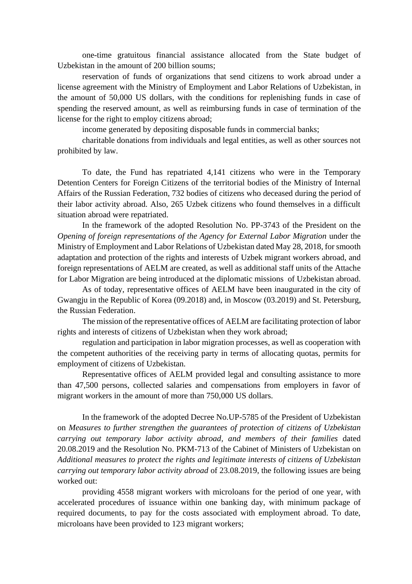one-time gratuitous financial assistance allocated from the State budget of Uzbekistan in the amount of 200 billion soums;

reservation of funds of organizations that send citizens to work abroad under a license agreement with the Ministry of Employment and Labor Relations of Uzbekistan, in the amount of 50,000 US dollars, with the conditions for replenishing funds in case of spending the reserved amount, as well as reimbursing funds in case of termination of the license for the right to employ citizens abroad;

income generated by depositing disposable funds in commercial banks;

charitable donations from individuals and legal entities, as well as other sources not prohibited by law.

To date, the Fund has repatriated 4,141 citizens who were in the Temporary Detention Centers for Foreign Citizens of the territorial bodies of the Ministry of Internal Affairs of the Russian Federation, 732 bodies of citizens who deceased during the period of their labor activity abroad. Also, 265 Uzbek citizens who found themselves in a difficult situation abroad were repatriated.

In the framework of the adopted Resolution No. PP-3743 of the President on the *Opening of foreign representations of the Agency for External Labor Migration* under the Ministry of Employment and Labor Relations of Uzbekistan dated May 28, 2018, for smooth adaptation and protection of the rights and interests of Uzbek migrant workers abroad, and foreign representations of AELM are created, as well as additional staff units of the Attache for Labor Migration are being introduced at the diplomatic missions of Uzbekistan abroad.

As of today, representative offices of AELM have been inaugurated in the city of Gwangju in the Republic of Korea (09.2018) and, in Moscow (03.2019) and St. Petersburg, the Russian Federation.

The mission of the representative offices of AELM are facilitating protection of labor rights and interests of citizens of Uzbekistan when they work abroad;

regulation and participation in labor migration processes, as well as cooperation with the competent authorities of the receiving party in terms of allocating quotas, permits for employment of citizens of Uzbekistan.

Representative offices of AELM provided legal and consulting assistance to more than 47,500 persons, collected salaries and compensations from employers in favor of migrant workers in the amount of more than 750,000 US dollars.

In the framework of the adopted Decree No.UP-5785 of the President of Uzbekistan on *Measures to further strengthen the guarantees of protection of citizens of Uzbekistan carrying out temporary labor activity abroad, and members of their families* dated 20.08.2019 and the Resolution No. PKM-713 of the Cabinet of Ministers of Uzbekistan on *Additional measures to protect the rights and legitimate interests of citizens of Uzbekistan carrying out temporary labor activity abroad* of 23.08.2019, the following issues are being worked out:

providing 4558 migrant workers with microloans for the period of one year, with accelerated procedures of issuance within one banking day, with minimum package of required documents, to pay for the costs associated with employment abroad. To date, microloans have been provided to 123 migrant workers;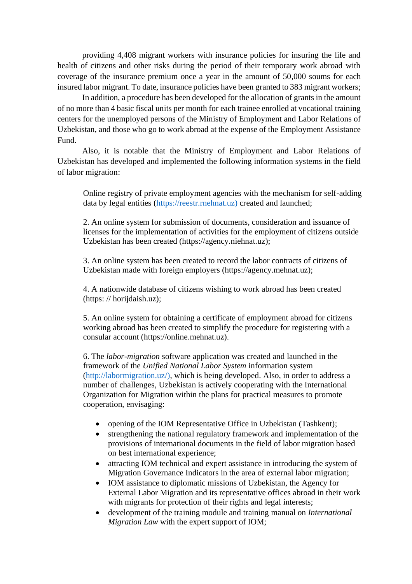providing 4,408 migrant workers with insurance policies for insuring the life and health of citizens and other risks during the period of their temporary work abroad with coverage of the insurance premium once a year in the amount of 50,000 soums for each insured labor migrant. To date, insurance policies have been granted to 383 migrant workers;

In addition, a procedure has been developed for the allocation of grants in the amount of no more than 4 basic fiscal units per month for each trainee enrolled at vocational training centers for the unemployed persons of the Ministry of Employment and Labor Relations of Uzbekistan, and those who go to work abroad at the expense of the Employment Assistance Fund.

Also, it is notable that the Ministry of Employment and Labor Relations of Uzbekistan has developed and implemented the following information systems in the field of labor migration:

Online registry of private employment agencies with the mechanism for self-adding data by legal entities [\(https://reestr.rnehnat.uz\)](https://reestr.rnehnat.uz)/) created and launched;

2. An online system for submission of documents, consideration and issuance of licenses for the implementation of activities for the employment of citizens outside Uzbekistan has been created (https://agency.niehnat.uz);

3. An online system has been created to record the labor contracts of citizens of Uzbekistan made with foreign employers (https://agency.mehnat.uz);

4. A nationwide database of citizens wishing to work abroad has been created (https: // horijdaish.uz);

5. An online system for obtaining a certificate of employment abroad for citizens working abroad has been created to simplify the procedure for registering with a consular account (https://online.mehnat.uz).

6. The *labor-migration* software application was created and launched in the framework of the *Unified National Labor System* information system [\(http://labormigration.uz/\),](http://labormigration.uz/)) which is being developed. Also, in order to address a number of challenges, Uzbekistan is actively cooperating with the International Organization for Migration within the plans for practical measures to promote cooperation, envisaging:

- opening of the IOM Representative Office in Uzbekistan (Tashkent);
- strengthening the national regulatory framework and implementation of the provisions of international documents in the field of labor migration based on best international experience;
- attracting IOM technical and expert assistance in introducing the system of Migration Governance Indicators in the area of external labor migration;
- IOM assistance to diplomatic missions of Uzbekistan, the Agency for External Labor Migration and its representative offices abroad in their work with migrants for protection of their rights and legal interests;
- development of the training module and training manual on *International Migration Law* with the expert support of IOM;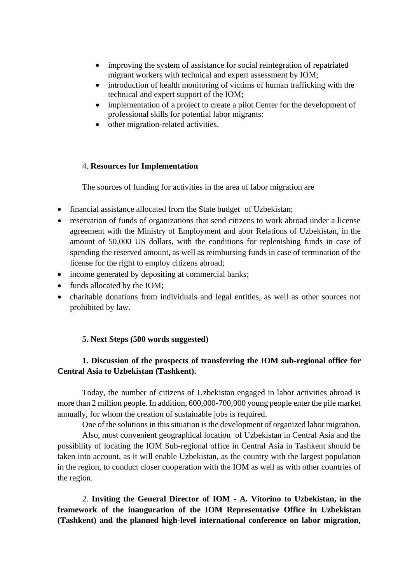- improving the system of assistance for social reintegration of repatriated migrant workers with technical and expert assessment by IOM;
- introduction of health monitoring of victims of human trafficking with the technical and expert support of the IOM;
- implementation of a project to create a pilot Center for the development of professional skills for potential labor migrants:
- other migration-related activities.

#### 4. **Resources for Implementation**

The sources of funding for activities in the area of labor migration are

- financial assistance allocated from the State budget of Uzbekistan;
- reservation of funds of organizations that send citizens to work abroad under a license agreement with the Ministry of Employment and abor Relations of Uzbekistan, in the amount of 50,000 US dollars, with the conditions for replenishing funds in case of spending the reserved amount, as well as reimbursing funds in case of termination of the license for the right to employ citizens abroad;
- income generated by depositing at commercial banks;
- funds allocated by the IOM;
- charitable donations from individuals and legal entities, as well as other sources not prohibited by law.

### **5. Next Steps (500 words suggested)**

## **1. Discussion of the prospects of transferring the IOM sub-regional office for Central Asia to Uzbekistan (Tashkent).**

Today, the number of citizens of Uzbekistan engaged in labor activities abroad is more than 2 million people. In addition, 600,000-700,000 young people enter the pile market annually, for whom the creation of sustainable jobs is required.

One of the solutions in this situation is the development of organized labor migration.

Also, most convenient geographical location of Uzbekistan in Central Asia and the possibility of locating the IOM Sub-regional office in Central Asia in Tashkent should be taken into account, as it will enable Uzbekistan, as the country with the largest population in the region, to conduct closer cooperation with the IOM as well as with other countries of the region.

2. **Inviting the General Director of IOM - A. Vitorino to Uzbekistan, in the framework of the inauguration of the IOM Representative Office in Uzbekistan (Tashkent) and the planned high-level international conference on labor migration,**